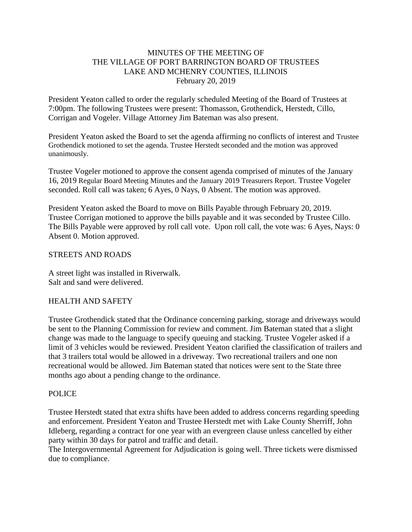#### MINUTES OF THE MEETING OF THE VILLAGE OF PORT BARRINGTON BOARD OF TRUSTEES LAKE AND MCHENRY COUNTIES, ILLINOIS February 20, 2019

President Yeaton called to order the regularly scheduled Meeting of the Board of Trustees at 7:00pm. The following Trustees were present: Thomasson, Grothendick, Herstedt, Cillo, Corrigan and Vogeler. Village Attorney Jim Bateman was also present.

President Yeaton asked the Board to set the agenda affirming no conflicts of interest and Trustee Grothendick motioned to set the agenda. Trustee Herstedt seconded and the motion was approved unanimously.

Trustee Vogeler motioned to approve the consent agenda comprised of minutes of the January 16, 2019 Regular Board Meeting Minutes and the January 2019 Treasurers Report. Trustee Vogeler seconded. Roll call was taken; 6 Ayes, 0 Nays, 0 Absent. The motion was approved.

President Yeaton asked the Board to move on Bills Payable through February 20, 2019. Trustee Corrigan motioned to approve the bills payable and it was seconded by Trustee Cillo. The Bills Payable were approved by roll call vote. Upon roll call, the vote was: 6 Ayes, Nays: 0 Absent 0. Motion approved.

#### STREETS AND ROADS

A street light was installed in Riverwalk. Salt and sand were delivered.

#### HEALTH AND SAFETY

Trustee Grothendick stated that the Ordinance concerning parking, storage and driveways would be sent to the Planning Commission for review and comment. Jim Bateman stated that a slight change was made to the language to specify queuing and stacking. Trustee Vogeler asked if a limit of 3 vehicles would be reviewed. President Yeaton clarified the classification of trailers and that 3 trailers total would be allowed in a driveway. Two recreational trailers and one non recreational would be allowed. Jim Bateman stated that notices were sent to the State three months ago about a pending change to the ordinance.

#### POLICE

Trustee Herstedt stated that extra shifts have been added to address concerns regarding speeding and enforcement. President Yeaton and Trustee Herstedt met with Lake County Sherriff, John Idleberg, regarding a contract for one year with an evergreen clause unless cancelled by either party within 30 days for patrol and traffic and detail.

The Intergovernmental Agreement for Adjudication is going well. Three tickets were dismissed due to compliance.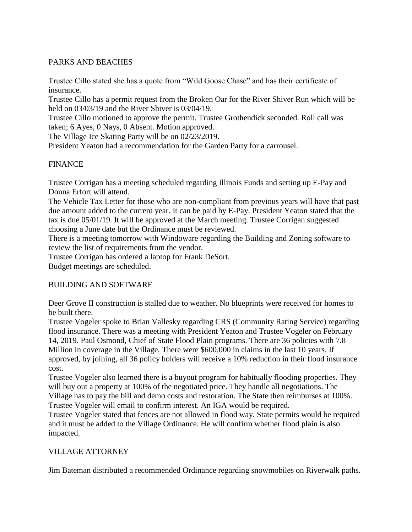## PARKS AND BEACHES

Trustee Cillo stated she has a quote from "Wild Goose Chase" and has their certificate of insurance.

Trustee Cillo has a permit request from the Broken Oar for the River Shiver Run which will be held on 03/03/19 and the River Shiver is 03/04/19.

Trustee Cillo motioned to approve the permit. Trustee Grothendick seconded. Roll call was taken; 6 Ayes, 0 Nays, 0 Absent. Motion approved.

The Village Ice Skating Party will be on 02/23/2019.

President Yeaton had a recommendation for the Garden Party for a carrousel.

### **FINANCE**

Trustee Corrigan has a meeting scheduled regarding Illinois Funds and setting up E-Pay and Donna Erfort will attend.

The Vehicle Tax Letter for those who are non-compliant from previous years will have that past due amount added to the current year. It can be paid by E-Pay. President Yeaton stated that the tax is due 05/01/19. It will be approved at the March meeting. Trustee Corrigan suggested choosing a June date but the Ordinance must be reviewed.

There is a meeting tomorrow with Windoware regarding the Building and Zoning software to review the list of requirements from the vendor.

Trustee Corrigan has ordered a laptop for Frank DeSort.

Budget meetings are scheduled.

### BUILDING AND SOFTWARE

Deer Grove II construction is stalled due to weather. No blueprints were received for homes to be built there.

Trustee Vogeler spoke to Brian Vallesky regarding CRS (Community Rating Service) regarding flood insurance. There was a meeting with President Yeaton and Trustee Vogeler on February 14, 2019. Paul Osmond, Chief of State Flood Plain programs. There are 36 policies with 7.8 Million in coverage in the Village. There were \$600,000 in claims in the last 10 years. If approved, by joining, all 36 policy holders will receive a 10% reduction in their flood insurance cost.

Trustee Vogeler also learned there is a buyout program for habitually flooding properties. They will buy out a property at 100% of the negotiated price. They handle all negotiations. The Village has to pay the bill and demo costs and restoration. The State then reimburses at 100%. Trustee Vogeler will email to confirm interest. An IGA would be required.

Trustee Vogeler stated that fences are not allowed in flood way. State permits would be required and it must be added to the Village Ordinance. He will confirm whether flood plain is also impacted.

### VILLAGE ATTORNEY

Jim Bateman distributed a recommended Ordinance regarding snowmobiles on Riverwalk paths.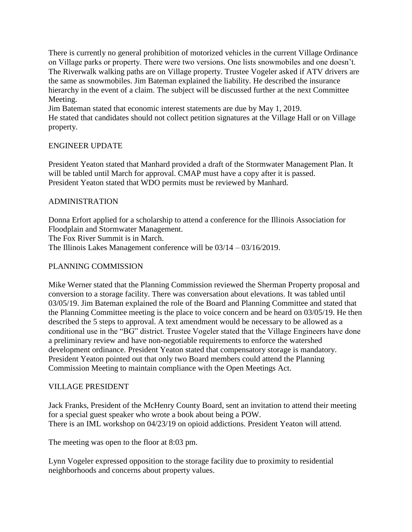There is currently no general prohibition of motorized vehicles in the current Village Ordinance on Village parks or property. There were two versions. One lists snowmobiles and one doesn't. The Riverwalk walking paths are on Village property. Trustee Vogeler asked if ATV drivers are the same as snowmobiles. Jim Bateman explained the liability. He described the insurance hierarchy in the event of a claim. The subject will be discussed further at the next Committee Meeting.

Jim Bateman stated that economic interest statements are due by May 1, 2019. He stated that candidates should not collect petition signatures at the Village Hall or on Village property.

### ENGINEER UPDATE

President Yeaton stated that Manhard provided a draft of the Stormwater Management Plan. It will be tabled until March for approval. CMAP must have a copy after it is passed. President Yeaton stated that WDO permits must be reviewed by Manhard.

# ADMINISTRATION

Donna Erfort applied for a scholarship to attend a conference for the Illinois Association for Floodplain and Stormwater Management.

The Fox River Summit is in March.

The Illinois Lakes Management conference will be 03/14 – 03/16/2019.

### PLANNING COMMISSION

Mike Werner stated that the Planning Commission reviewed the Sherman Property proposal and conversion to a storage facility. There was conversation about elevations. It was tabled until 03/05/19. Jim Bateman explained the role of the Board and Planning Committee and stated that the Planning Committee meeting is the place to voice concern and be heard on 03/05/19. He then described the 5 steps to approval. A text amendment would be necessary to be allowed as a conditional use in the "BG" district. Trustee Vogeler stated that the Village Engineers have done a preliminary review and have non-negotiable requirements to enforce the watershed development ordinance. President Yeaton stated that compensatory storage is mandatory. President Yeaton pointed out that only two Board members could attend the Planning Commission Meeting to maintain compliance with the Open Meetings Act.

### VILLAGE PRESIDENT

Jack Franks, President of the McHenry County Board, sent an invitation to attend their meeting for a special guest speaker who wrote a book about being a POW. There is an IML workshop on 04/23/19 on opioid addictions. President Yeaton will attend.

The meeting was open to the floor at 8:03 pm.

Lynn Vogeler expressed opposition to the storage facility due to proximity to residential neighborhoods and concerns about property values.